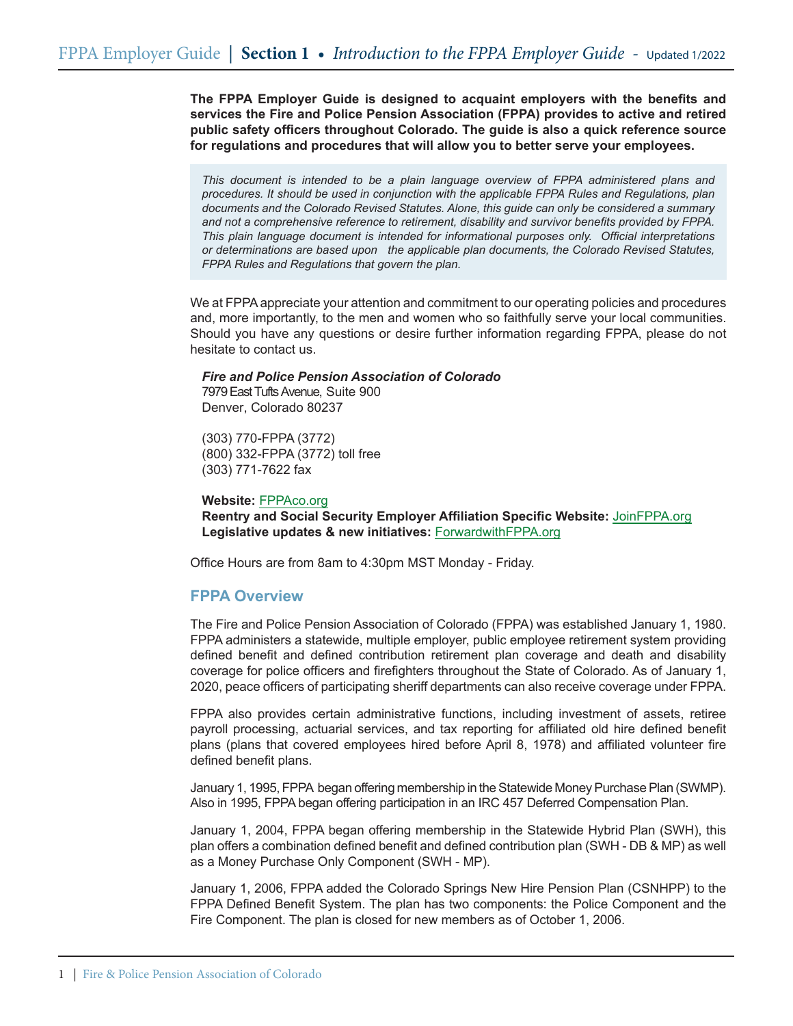**The FPPA Employer Guide is designed to acquaint employers with the benefits and services the Fire and Police Pension Association (FPPA) provides to active and retired public safety officers throughout Colorado. The guide is also a quick reference source for regulations and procedures that will allow you to better serve your employees.** 

*This document is intended to be a plain language overview of FPPA administered plans and procedures. It should be used in conjunction with the applicable FPPA Rules and Regulations, plan documents and the Colorado Revised Statutes. Alone, this guide can only be considered a summary and not a comprehensive reference to retirement, disability and survivor benefits provided by FPPA. This plain language document is intended for informational purposes only. Official interpretations or determinations are based upon the applicable plan documents, the Colorado Revised Statutes, FPPA Rules and Regulations that govern the plan.*

We at FPPA appreciate your attention and commitment to our operating policies and procedures and, more importantly, to the men and women who so faithfully serve your local communities. Should you have any questions or desire further information regarding FPPA, please do not hesitate to contact us.

#### *Fire and Police Pension Association of Colorado*

7979 East Tufts Avenue, Suite 900 Denver, Colorado 80237

(303) 770-FPPA (3772) (800) 332-FPPA (3772) toll free (303) 771-7622 fax

#### **Website:** FPPAco.org

**Reentry and Social Security Employer Affiliation Specific Website:** JoinFPPA.org **Legislative updates & new initiatives:** ForwardwithFPPA.org

Office Hours are from 8am to 4:30pm MST Monday - Friday.

# **FPPA Overview**

The Fire and Police Pension Association of Colorado (FPPA) was established January 1, 1980. FPPA administers a statewide, multiple employer, public employee retirement system providing defined benefit and defined contribution retirement plan coverage and death and disability coverage for police officers and firefighters throughout the State of Colorado. As of January 1, 2020, peace officers of participating sheriff departments can also receive coverage under FPPA.

FPPA also provides certain administrative functions, including investment of assets, retiree payroll processing, actuarial services, and tax reporting for affiliated old hire defined benefit plans (plans that covered employees hired before April 8, 1978) and affiliated volunteer fire defined benefit plans.

January 1, 1995, FPPA began offering membership in the Statewide Money Purchase Plan (SWMP). Also in 1995, FPPA began offering participation in an IRC 457 Deferred Compensation Plan.

January 1, 2004, FPPA began offering membership in the Statewide Hybrid Plan (SWH), this plan offers a combination defined benefit and defined contribution plan (SWH - DB & MP) as well as a Money Purchase Only Component (SWH - MP).

January 1, 2006, FPPA added the Colorado Springs New Hire Pension Plan (CSNHPP) to the FPPA Defined Benefit System. The plan has two components: the Police Component and the Fire Component. The plan is closed for new members as of October 1, 2006.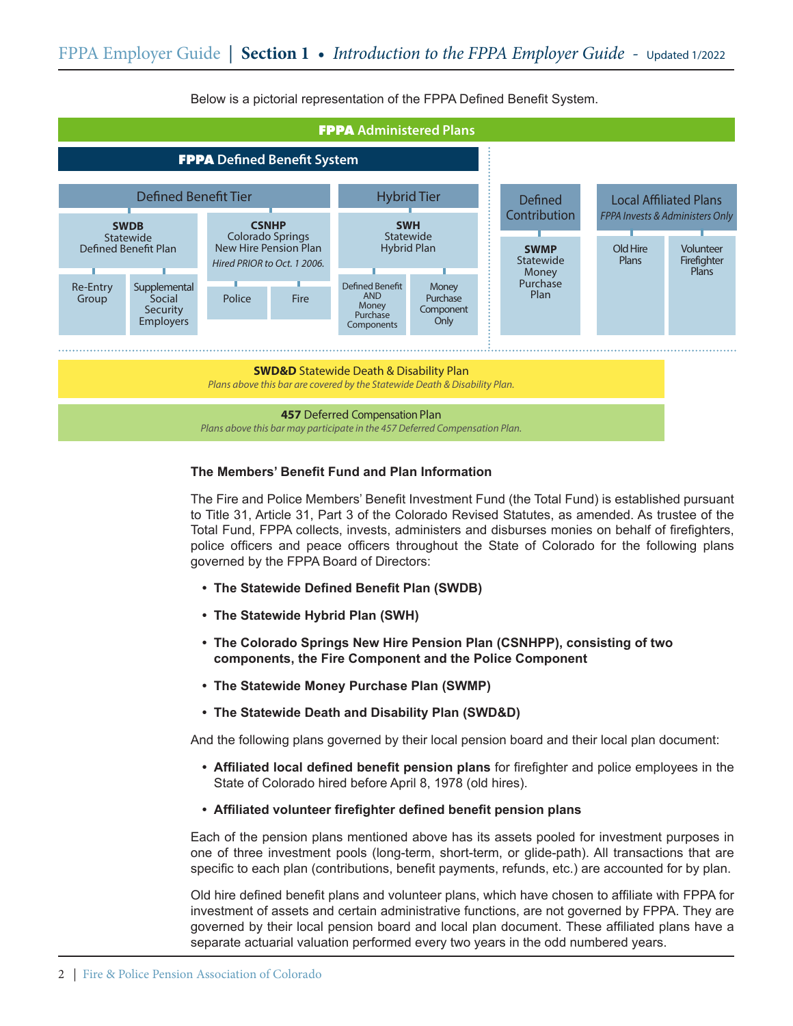

Below is a pictorial representation of the FPPA Defined Benefit System.

## **The Members' Benefit Fund and Plan Information**

The Fire and Police Members' Benefit Investment Fund (the Total Fund) is established pursuant to Title 31, Article 31, Part 3 of the Colorado Revised Statutes, as amended. As trustee of the Total Fund, FPPA collects, invests, administers and disburses monies on behalf of firefighters, police officers and peace officers throughout the State of Colorado for the following plans governed by the FPPA Board of Directors:

- **• The Statewide Defined Benefit Plan (SWDB)**
- **• The Statewide Hybrid Plan (SWH)**
- **• The Colorado Springs New Hire Pension Plan (CSNHPP), consisting of two components, the Fire Component and the Police Component**
- **• The Statewide Money Purchase Plan (SWMP)**
- **• The Statewide Death and Disability Plan (SWD&D)**

And the following plans governed by their local pension board and their local plan document:

- **• Affiliated local defined benefit pension plans** for firefighter and police employees in the State of Colorado hired before April 8, 1978 (old hires).
- **• Affiliated volunteer firefighter defined benefit pension plans**

Each of the pension plans mentioned above has its assets pooled for investment purposes in one of three investment pools (long-term, short-term, or glide-path). All transactions that are specific to each plan (contributions, benefit payments, refunds, etc.) are accounted for by plan.

Old hire defined benefit plans and volunteer plans, which have chosen to affiliate with FPPA for investment of assets and certain administrative functions, are not governed by FPPA. They are governed by their local pension board and local plan document. These affiliated plans have a separate actuarial valuation performed every two years in the odd numbered years.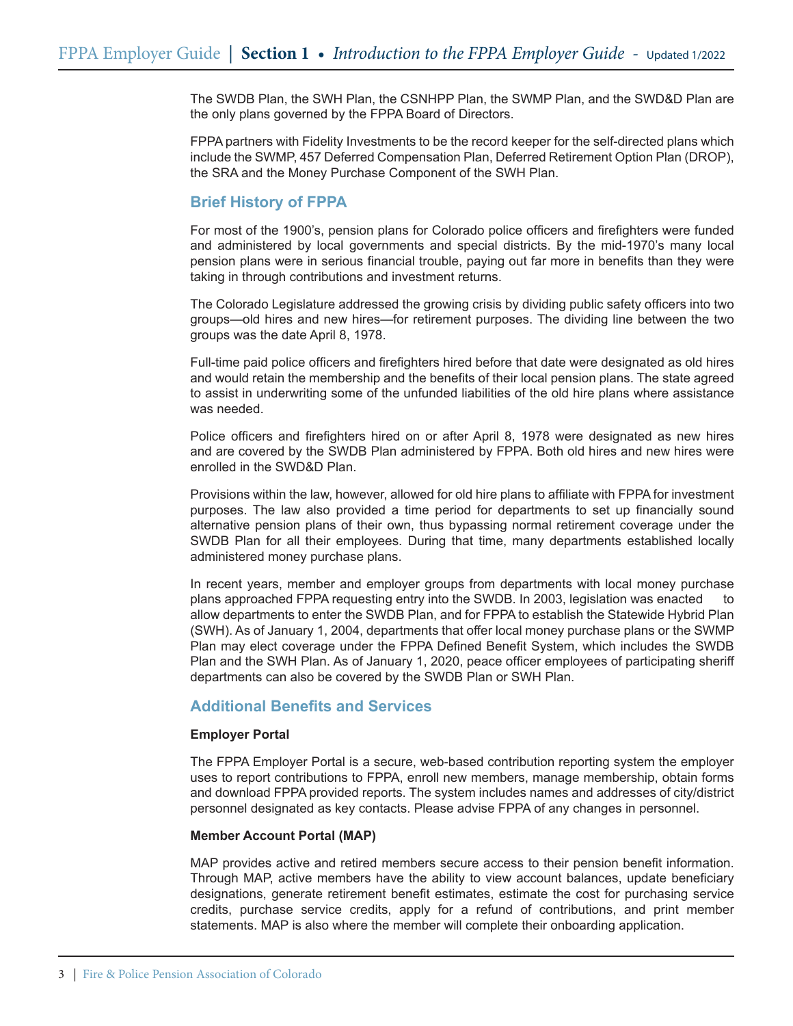The SWDB Plan, the SWH Plan, the CSNHPP Plan, the SWMP Plan, and the SWD&D Plan are the only plans governed by the FPPA Board of Directors.

FPPA partners with Fidelity Investments to be the record keeper for the self-directed plans which include the SWMP, 457 Deferred Compensation Plan, Deferred Retirement Option Plan (DROP), the SRA and the Money Purchase Component of the SWH Plan.

# **Brief History of FPPA**

For most of the 1900's, pension plans for Colorado police officers and firefighters were funded and administered by local governments and special districts. By the mid-1970's many local pension plans were in serious financial trouble, paying out far more in benefits than they were taking in through contributions and investment returns.

The Colorado Legislature addressed the growing crisis by dividing public safety officers into two groups—old hires and new hires—for retirement purposes. The dividing line between the two groups was the date April 8, 1978.

Full-time paid police officers and firefighters hired before that date were designated as old hires and would retain the membership and the benefits of their local pension plans. The state agreed to assist in underwriting some of the unfunded liabilities of the old hire plans where assistance was needed.

Police officers and firefighters hired on or after April 8, 1978 were designated as new hires and are covered by the SWDB Plan administered by FPPA. Both old hires and new hires were enrolled in the SWD&D Plan.

Provisions within the law, however, allowed for old hire plans to affiliate with FPPA for investment purposes. The law also provided a time period for departments to set up financially sound alternative pension plans of their own, thus bypassing normal retirement coverage under the SWDB Plan for all their employees. During that time, many departments established locally administered money purchase plans.

In recent years, member and employer groups from departments with local money purchase plans approached FPPA requesting entry into the SWDB. In 2003, legislation was enacted to allow departments to enter the SWDB Plan, and for FPPA to establish the Statewide Hybrid Plan (SWH). As of January 1, 2004, departments that offer local money purchase plans or the SWMP Plan may elect coverage under the FPPA Defined Benefit System, which includes the SWDB Plan and the SWH Plan. As of January 1, 2020, peace officer employees of participating sheriff departments can also be covered by the SWDB Plan or SWH Plan.

# **Additional Benefits and Services**

## **Employer Portal**

The FPPA Employer Portal is a secure, web-based contribution reporting system the employer uses to report contributions to FPPA, enroll new members, manage membership, obtain forms and download FPPA provided reports. The system includes names and addresses of city/district personnel designated as key contacts. Please advise FPPA of any changes in personnel.

## **Member Account Portal (MAP)**

MAP provides active and retired members secure access to their pension benefit information. Through MAP, active members have the ability to view account balances, update beneficiary designations, generate retirement benefit estimates, estimate the cost for purchasing service credits, purchase service credits, apply for a refund of contributions, and print member statements. MAP is also where the member will complete their onboarding application.